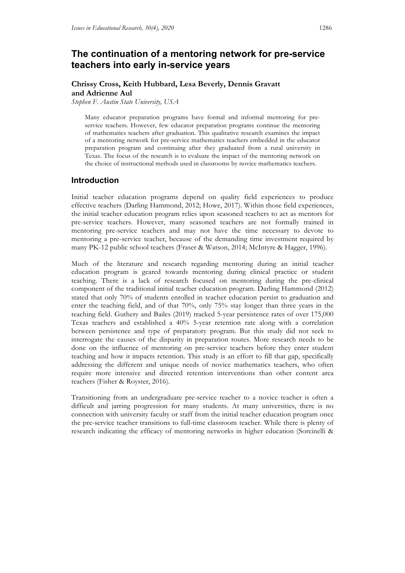# **The continuation of a mentoring network for pre-service teachers into early in-service years**

### **Chrissy Cross, Keith Hubbard, Lesa Beverly, Dennis Gravatt and Adrienne Aul**

*Stephen F. Austin State University, USA*

Many educator preparation programs have formal and informal mentoring for preservice teachers. However, few educator preparation programs continue the mentoring of mathematics teachers after graduation. This qualitative research examines the impact of a mentoring network for pre-service mathematics teachers embedded in the educator preparation program and continuing after they graduated from a rural university in Texas. The focus of the research is to evaluate the impact of the mentoring network on the choice of instructional methods used in classrooms by novice mathematics teachers.

### **Introduction**

Initial teacher education programs depend on quality field experiences to produce effective teachers (Darling Hammond, 2012; Howe, 2017). Within those field experiences, the initial teacher education program relies upon seasoned teachers to act as mentors for pre-service teachers. However, many seasoned teachers are not formally trained in mentoring pre-service teachers and may not have the time necessary to devote to mentoring a pre-service teacher, because of the demanding time investment required by many PK-12 public school teachers (Fraser & Watson, 2014; McIntyre & Hagger, 1996).

Much of the literature and research regarding mentoring during an initial teacher education program is geared towards mentoring during clinical practice or student teaching. There is a lack of research focused on mentoring during the pre-clinical component of the traditional initial teacher education program. Darling Hammond (2012) stated that only 70% of students enrolled in teacher education persist to graduation and enter the teaching field, and of that 70%, only 75% stay longer than three years in the teaching field. Guthery and Bailes (2019) tracked 5-year persistence rates of over 175,000 Texas teachers and established a 40% 5-year retention rate along with a correlation between persistence and type of preparatory program. But this study did not seek to interrogate the causes of the disparity in preparation routes. More research needs to be done on the influence of mentoring on pre-service teachers before they enter student teaching and how it impacts retention. This study is an effort to fill that gap, specifically addressing the different and unique needs of novice mathematics teachers, who often require more intensive and directed retention interventions than other content area teachers (Fisher & Royster, 2016).

Transitioning from an undergraduate pre-service teacher to a novice teacher is often a difficult and jarring progression for many students. At many universities, there is no connection with university faculty or staff from the initial teacher education program once the pre-service teacher transitions to full-time classroom teacher. While there is plenty of research indicating the efficacy of mentoring networks in higher education (Sorcinelli &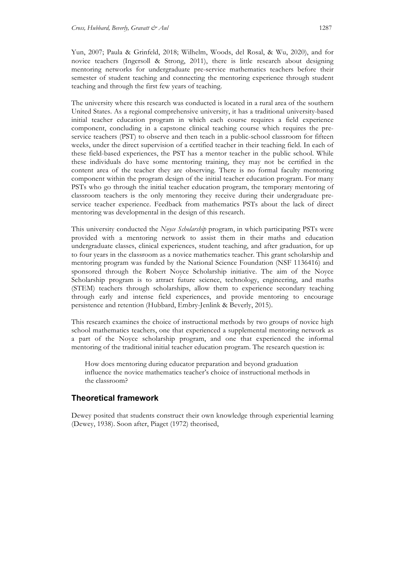Yun, 2007; Paula & Grinfeld, 2018; Wilhelm, Woods, del Rosal, & Wu, 2020), and for novice teachers (Ingersoll & Strong, 2011), there is little research about designing mentoring networks for undergraduate pre-service mathematics teachers before their semester of student teaching and connecting the mentoring experience through student teaching and through the first few years of teaching.

The university where this research was conducted is located in a rural area of the southern United States. As a regional comprehensive university, it has a traditional university-based initial teacher education program in which each course requires a field experience component, concluding in a capstone clinical teaching course which requires the preservice teachers (PST) to observe and then teach in a public-school classroom for fifteen weeks, under the direct supervision of a certified teacher in their teaching field. In each of these field-based experiences, the PST has a mentor teacher in the public school. While these individuals do have some mentoring training, they may not be certified in the content area of the teacher they are observing. There is no formal faculty mentoring component within the program design of the initial teacher education program. For many PSTs who go through the initial teacher education program, the temporary mentoring of classroom teachers is the only mentoring they receive during their undergraduate preservice teacher experience. Feedback from mathematics PSTs about the lack of direct mentoring was developmental in the design of this research.

This university conducted the *Noyce Scholarship* program, in which participating PSTs were provided with a mentoring network to assist them in their maths and education undergraduate classes, clinical experiences, student teaching, and after graduation, for up to four years in the classroom as a novice mathematics teacher. This grant scholarship and mentoring program was funded by the National Science Foundation (NSF 1136416) and sponsored through the Robert Noyce Scholarship initiative. The aim of the Noyce Scholarship program is to attract future science, technology, engineering, and maths (STEM) teachers through scholarships, allow them to experience secondary teaching through early and intense field experiences, and provide mentoring to encourage persistence and retention (Hubbard, Embry-Jenlink & Beverly, 2015).

This research examines the choice of instructional methods by two groups of novice high school mathematics teachers, one that experienced a supplemental mentoring network as a part of the Noyce scholarship program, and one that experienced the informal mentoring of the traditional initial teacher education program. The research question is:

How does mentoring during educator preparation and beyond graduation influence the novice mathematics teacher's choice of instructional methods in the classroom?

### **Theoretical framework**

Dewey posited that students construct their own knowledge through experiential learning (Dewey, 1938). Soon after, Piaget (1972) theorised,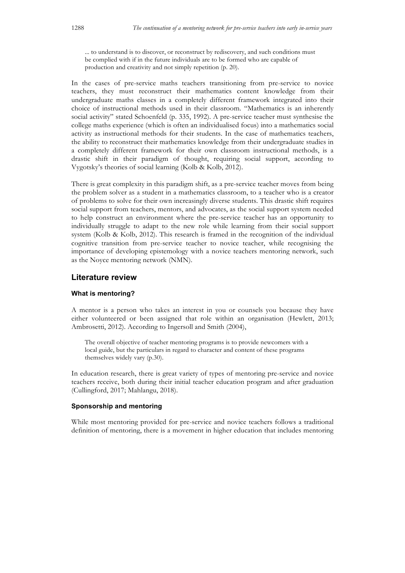... to understand is to discover, or reconstruct by rediscovery, and such conditions must be complied with if in the future individuals are to be formed who are capable of production and creativity and not simply repetition (p. 20).

In the cases of pre-service maths teachers transitioning from pre-service to novice teachers, they must reconstruct their mathematics content knowledge from their undergraduate maths classes in a completely different framework integrated into their choice of instructional methods used in their classroom. "Mathematics is an inherently social activity" stated Schoenfeld (p. 335, 1992). A pre-service teacher must synthesise the college maths experience (which is often an individualised focus) into a mathematics social activity as instructional methods for their students. In the case of mathematics teachers, the ability to reconstruct their mathematics knowledge from their undergraduate studies in a completely different framework for their own classroom instructional methods, is a drastic shift in their paradigm of thought, requiring social support, according to Vygotsky's theories of social learning (Kolb & Kolb, 2012).

There is great complexity in this paradigm shift, as a pre-service teacher moves from being the problem solver as a student in a mathematics classroom, to a teacher who is a creator of problems to solve for their own increasingly diverse students. This drastic shift requires social support from teachers, mentors, and advocates, as the social support system needed to help construct an environment where the pre-service teacher has an opportunity to individually struggle to adapt to the new role while learning from their social support system (Kolb & Kolb, 2012). This research is framed in the recognition of the individual cognitive transition from pre-service teacher to novice teacher, while recognising the importance of developing epistemology with a novice teachers mentoring network, such as the Noyce mentoring network (NMN).

### **Literature review**

### **What is mentoring?**

A mentor is a person who takes an interest in you or counsels you because they have either volunteered or been assigned that role within an organisation (Hewlett, 2013; Ambrosetti, 2012). According to Ingersoll and Smith (2004),

The overall objective of teacher mentoring programs is to provide newcomers with a local guide, but the particulars in regard to character and content of these programs themselves widely vary (p.30).

In education research, there is great variety of types of mentoring pre-service and novice teachers receive, both during their initial teacher education program and after graduation (Cullingford, 2017; Mahlangu, 2018).

### **Sponsorship and mentoring**

While most mentoring provided for pre-service and novice teachers follows a traditional definition of mentoring, there is a movement in higher education that includes mentoring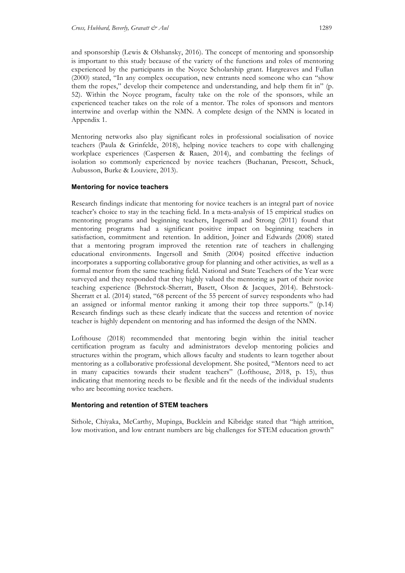and sponsorship (Lewis & Olshansky, 2016). The concept of mentoring and sponsorship is important to this study because of the variety of the functions and roles of mentoring experienced by the participants in the Noyce Scholarship grant. Hargreaves and Fullan (2000) stated, "In any complex occupation, new entrants need someone who can "show them the ropes," develop their competence and understanding, and help them fit in" (p. 52). Within the Noyce program, faculty take on the role of the sponsors, while an experienced teacher takes on the role of a mentor. The roles of sponsors and mentors intertwine and overlap within the NMN. A complete design of the NMN is located in Appendix 1.

Mentoring networks also play significant roles in professional socialisation of novice teachers (Paula & Grinfelde, 2018), helping novice teachers to cope with challenging workplace experiences (Caspersen & Raaen, 2014), and combatting the feelings of isolation so commonly experienced by novice teachers (Buchanan, Prescott, Schuck, Aubusson, Burke & Louviere, 2013).

### **Mentoring for novice teachers**

Research findings indicate that mentoring for novice teachers is an integral part of novice teacher's choice to stay in the teaching field. In a meta-analysis of 15 empirical studies on mentoring programs and beginning teachers, Ingersoll and Strong (2011) found that mentoring programs had a significant positive impact on beginning teachers in satisfaction, commitment and retention. In addition, Joiner and Edwards (2008) stated that a mentoring program improved the retention rate of teachers in challenging educational environments. Ingersoll and Smith (2004) posited effective induction incorporates a supporting collaborative group for planning and other activities, as well as a formal mentor from the same teaching field. National and State Teachers of the Year were surveyed and they responded that they highly valued the mentoring as part of their novice teaching experience (Behrstock-Sherratt, Basett, Olson & Jacques, 2014). Behrstock-Sherratt et al. (2014) stated, "68 percent of the 55 percent of survey respondents who had an assigned or informal mentor ranking it among their top three supports." (p.14) Research findings such as these clearly indicate that the success and retention of novice teacher is highly dependent on mentoring and has informed the design of the NMN.

Lofthouse (2018) recommended that mentoring begin within the initial teacher certification program as faculty and administrators develop mentoring policies and structures within the program, which allows faculty and students to learn together about mentoring as a collaborative professional development. She posited, "Mentors need to act in many capacities towards their student teachers" (Lofthouse, 2018, p. 15), thus indicating that mentoring needs to be flexible and fit the needs of the individual students who are becoming novice teachers.

### **Mentoring and retention of STEM teachers**

Sithole, Chiyaka, McCarthy, Mupinga, Bucklein and Kibridge stated that "high attrition, low motivation, and low entrant numbers are big challenges for STEM education growth"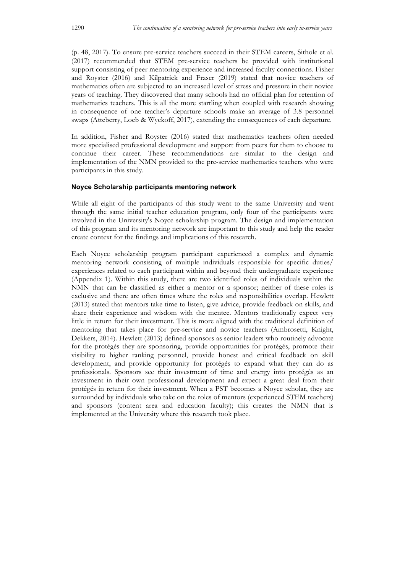(p. 48, 2017). To ensure pre-service teachers succeed in their STEM careers, Sithole et al. (2017) recommended that STEM pre-service teachers be provided with institutional support consisting of peer mentoring experience and increased faculty connections. Fisher and Royster (2016) and Kilpatrick and Fraser (2019) stated that novice teachers of mathematics often are subjected to an increased level of stress and pressure in their novice years of teaching. They discovered that many schools had no official plan for retention of mathematics teachers. This is all the more startling when coupled with research showing in consequence of one teacher's departure schools make an average of 3.8 personnel swaps (Atteberry, Loeb & Wyckoff, 2017), extending the consequences of each departure.

In addition, Fisher and Royster (2016) stated that mathematics teachers often needed more specialised professional development and support from peers for them to choose to continue their career. These recommendations are similar to the design and implementation of the NMN provided to the pre-service mathematics teachers who were participants in this study.

### **Noyce Scholarship participants mentoring network**

While all eight of the participants of this study went to the same University and went through the same initial teacher education program, only four of the participants were involved in the University's Noyce scholarship program. The design and implementation of this program and its mentoring network are important to this study and help the reader create context for the findings and implications of this research.

Each Noyce scholarship program participant experienced a complex and dynamic mentoring network consisting of multiple individuals responsible for specific duties/ experiences related to each participant within and beyond their undergraduate experience (Appendix 1). Within this study, there are two identified roles of individuals within the NMN that can be classified as either a mentor or a sponsor; neither of these roles is exclusive and there are often times where the roles and responsibilities overlap. Hewlett (2013) stated that mentors take time to listen, give advice, provide feedback on skills, and share their experience and wisdom with the mentee. Mentors traditionally expect very little in return for their investment. This is more aligned with the traditional definition of mentoring that takes place for pre-service and novice teachers (Ambrosetti, Knight, Dekkers, 2014). Hewlett (2013) defined sponsors as senior leaders who routinely advocate for the protégés they are sponsoring, provide opportunities for protégés, promote their visibility to higher ranking personnel, provide honest and critical feedback on skill development, and provide opportunity for protégés to expand what they can do as professionals. Sponsors see their investment of time and energy into protégés as an investment in their own professional development and expect a great deal from their protégés in return for their investment. When a PST becomes a Noyce scholar, they are surrounded by individuals who take on the roles of mentors (experienced STEM teachers) and sponsors (content area and education faculty); this creates the NMN that is implemented at the University where this research took place.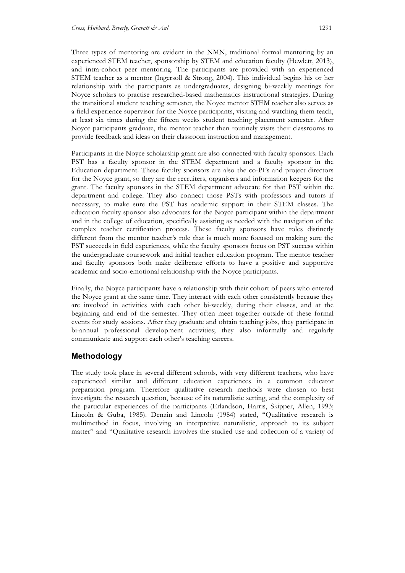Three types of mentoring are evident in the NMN, traditional formal mentoring by an experienced STEM teacher, sponsorship by STEM and education faculty (Hewlett, 2013), and intra-cohort peer mentoring. The participants are provided with an experienced STEM teacher as a mentor (Ingersoll & Strong, 2004). This individual begins his or her relationship with the participants as undergraduates, designing bi-weekly meetings for Noyce scholars to practise researched-based mathematics instructional strategies. During the transitional student teaching semester, the Noyce mentor STEM teacher also serves as a field experience supervisor for the Noyce participants, visiting and watching them teach, at least six times during the fifteen weeks student teaching placement semester. After Noyce participants graduate, the mentor teacher then routinely visits their classrooms to provide feedback and ideas on their classroom instruction and management.

Participants in the Noyce scholarship grant are also connected with faculty sponsors. Each PST has a faculty sponsor in the STEM department and a faculty sponsor in the Education department. These faculty sponsors are also the co-PI's and project directors for the Noyce grant, so they are the recruiters, organisers and information keepers for the grant. The faculty sponsors in the STEM department advocate for that PST within the department and college. They also connect those PSTs with professors and tutors if necessary, to make sure the PST has academic support in their STEM classes. The education faculty sponsor also advocates for the Noyce participant within the department and in the college of education, specifically assisting as needed with the navigation of the complex teacher certification process. These faculty sponsors have roles distinctly different from the mentor teacher's role that is much more focused on making sure the PST succeeds in field experiences, while the faculty sponsors focus on PST success within the undergraduate coursework and initial teacher education program. The mentor teacher and faculty sponsors both make deliberate efforts to have a positive and supportive academic and socio-emotional relationship with the Noyce participants.

Finally, the Noyce participants have a relationship with their cohort of peers who entered the Noyce grant at the same time. They interact with each other consistently because they are involved in activities with each other bi-weekly, during their classes, and at the beginning and end of the semester. They often meet together outside of these formal events for study sessions. After they graduate and obtain teaching jobs, they participate in bi-annual professional development activities; they also informally and regularly communicate and support each other's teaching careers.

# **Methodology**

The study took place in several different schools, with very different teachers, who have experienced similar and different education experiences in a common educator preparation program. Therefore qualitative research methods were chosen to best investigate the research question, because of its naturalistic setting, and the complexity of the particular experiences of the participants (Erlandson, Harris, Skipper, Allen, 1993; Lincoln & Guba, 1985). Denzin and Lincoln (1984) stated, "Qualitative research is multimethod in focus, involving an interpretive naturalistic, approach to its subject matter" and "Qualitative research involves the studied use and collection of a variety of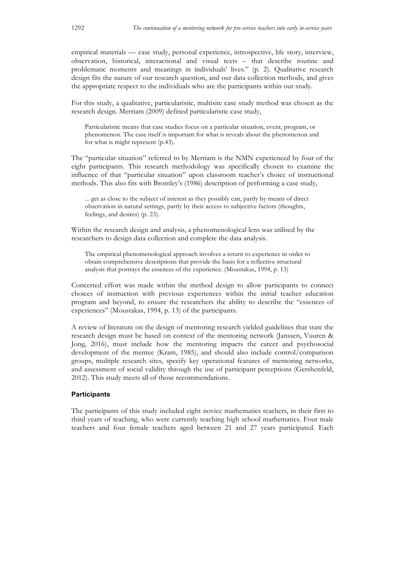empirical materials — case study, personal experience, introspective, life story, interview, observation, historical, interactional and visual texts – that describe routine and problematic moments and meanings in individuals' lives." (p. 2). Qualitative research design fits the nature of our research question, and our data collection methods, and gives the appropriate respect to the individuals who are the participants within our study.

For this study, a qualitative, particularistic, multisite case study method was chosen as the research design. Merriam (2009) defined particularistic case study,

Particularistic means that case studies focus on a particular situation, event, program, or phenomenon. The case itself is important for what is reveals about the phenomenon and for what is might represent (p.43).

The "particular situation" referred to by Merriam is the NMN experienced by four of the eight participants. This research methodology was specifically chosen to examine the influence of that "particular situation" upon classroom teacher's choice of instructional methods. This also fits with Bromley's (1986) description of performing a case study,

... get as close to the subject of interest as they possibly can, partly by means of direct observation in natural settings, partly by their access to subjective factors (thoughts, feelings, and desires) (p. 23).

Within the research design and analysis, a phenomenological lens was utilised by the researchers to design data collection and complete the data analysis.

The empirical phenomenological approach involves a return to experience in order to obtain comprehensive descriptions that provide the basis for a reflective structural analysis that portrays the essences of the experience. (Moustakas, 1994, p. 13)

Concerted effort was made within the method design to allow participants to connect choices of instruction with previous experiences within the initial teacher education program and beyond, to ensure the researchers the ability to describe the "essences of experiences" (Moustakas, 1994, p. 13) of the participants.

A review of literature on the design of mentoring research yielded guidelines that state the research design must be based on context of the mentoring network (Janssen, Vuuren & Jong, 2016), must include how the mentoring impacts the career and psychosocial development of the mentee (Kram, 1985), and should also include control/comparison groups, multiple research sites, specify key operational features of mentoring networks, and assessment of social validity through the use of participant perceptions (Gershenfeld, 2012). This study meets all of those recommendations.

### **Participants**

The participants of this study included eight novice mathematics teachers, in their first to third years of teaching, who were currently teaching high school mathematics. Four male teachers and four female teachers aged between 21 and 27 years participated. Each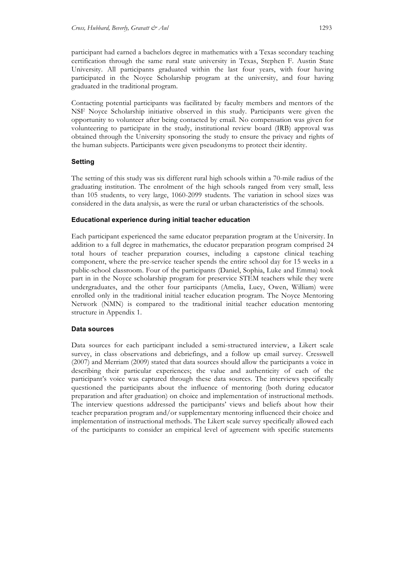participant had earned a bachelors degree in mathematics with a Texas secondary teaching certification through the same rural state university in Texas, Stephen F. Austin State University. All participants graduated within the last four years, with four having participated in the Noyce Scholarship program at the university, and four having graduated in the traditional program.

Contacting potential participants was facilitated by faculty members and mentors of the NSF Noyce Scholarship initiative observed in this study. Participants were given the opportunity to volunteer after being contacted by email. No compensation was given for volunteering to participate in the study, institutional review board (IRB) approval was obtained through the University sponsoring the study to ensure the privacy and rights of the human subjects. Participants were given pseudonyms to protect their identity.

### **Setting**

The setting of this study was six different rural high schools within a 70-mile radius of the graduating institution. The enrolment of the high schools ranged from very small, less than 105 students, to very large, 1060-2099 students. The variation in school sizes was considered in the data analysis, as were the rural or urban characteristics of the schools.

### **Educational experience during initial teacher education**

Each participant experienced the same educator preparation program at the University. In addition to a full degree in mathematics, the educator preparation program comprised 24 total hours of teacher preparation courses, including a capstone clinical teaching component, where the pre-service teacher spends the entire school day for 15 weeks in a public-school classroom. Four of the participants (Daniel, Sophia, Luke and Emma) took part in in the Noyce scholarship program for preservice STEM teachers while they were undergraduates, and the other four participants (Amelia, Lucy, Owen, William) were enrolled only in the traditional initial teacher education program. The Noyce Mentoring Network (NMN) is compared to the traditional initial teacher education mentoring structure in Appendix 1.

### **Data sources**

Data sources for each participant included a semi-structured interview, a Likert scale survey, in class observations and debriefings, and a follow up email survey. Cresswell (2007) and Merriam (2009) stated that data sources should allow the participants a voice in describing their particular experiences; the value and authenticity of each of the participant's voice was captured through these data sources. The interviews specifically questioned the participants about the influence of mentoring (both during educator preparation and after graduation) on choice and implementation of instructional methods. The interview questions addressed the participants' views and beliefs about how their teacher preparation program and/or supplementary mentoring influenced their choice and implementation of instructional methods. The Likert scale survey specifically allowed each of the participants to consider an empirical level of agreement with specific statements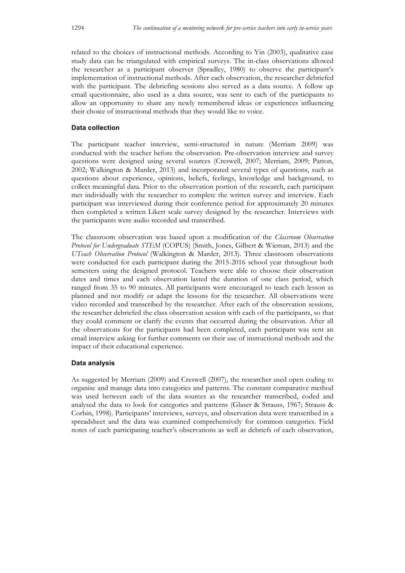related to the choices of instructional methods. According to Yin (2003), qualitative case study data can be triangulated with empirical surveys. The in-class observations allowed the researcher as a participant observer (Spradley, 1980) to observe the participant's implementation of instructional methods. After each observation, the researcher debriefed with the participant. The debriefing sessions also served as a data source. A follow up email questionnaire, also used as a data source, was sent to each of the participants to allow an opportunity to share any newly remembered ideas or experiences influencing their choice of instructional methods that they would like to voice.

### **Data collection**

The participant teacher interview, semi-structured in nature (Merriam 2009) was conducted with the teacher before the observation. Pre-observation interview and survey questions were designed using several sources (Creswell, 2007; Merriam, 2009; Patton, 2002; Walkington & Marder, 2013) and incorporated several types of questions, such as questions about experience, opinions, beliefs, feelings, knowledge and background, to collect meaningful data. Prior to the observation portion of the research, each participant met individually with the researcher to complete the written survey and interview. Each participant was interviewed during their conference period for approximately 20 minutes then completed a written Likert scale survey designed by the researcher. Interviews with the participants were audio recorded and transcribed.

The classroom observation was based upon a modification of the *Classroom Observation Protocol for Undergraduate STEM* (COPUS) (Smith, Jones, Gilbert & Wieman, 2013) and the *UTeach Observation Protocol* (Walkington & Marder, 2013). Three classroom observations were conducted for each participant during the 2015-2016 school year throughout both semesters using the designed protocol. Teachers were able to choose their observation dates and times and each observation lasted the duration of one class period, which ranged from 35 to 90 minutes. All participants were encouraged to teach each lesson as planned and not modify or adapt the lessons for the researcher. All observations were video recorded and transcribed by the researcher. After each of the observation sessions, the researcher debriefed the class observation session with each of the participants, so that they could comment or clarify the events that occurred during the observation. After all the observations for the participants had been completed, each participant was sent an email interview asking for further comments on their use of instructional methods and the impact of their educational experience.

### **Data analysis**

As suggested by Merriam (2009) and Creswell (2007), the researcher used open coding to organise and manage data into categories and patterns. The constant comparative method was used between each of the data sources as the researcher transcribed, coded and analysed the data to look for categories and patterns (Glaser & Strauss, 1967; Strauss & Corbin, 1998). Participants' interviews, surveys, and observation data were transcribed in a spreadsheet and the data was examined comprehensively for common categories. Field notes of each participating teacher's observations as well as debriefs of each observation,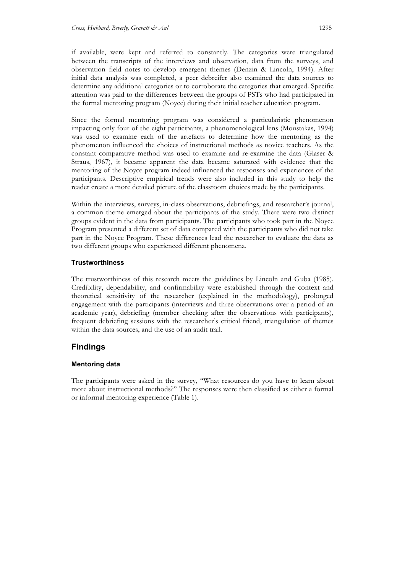if available, were kept and referred to constantly. The categories were triangulated between the transcripts of the interviews and observation, data from the surveys, and observation field notes to develop emergent themes (Denzin & Lincoln, 1994). After initial data analysis was completed, a peer debreifer also examined the data sources to determine any additional categories or to corroborate the categories that emerged. Specific attention was paid to the differences between the groups of PSTs who had participated in the formal mentoring program (Noyce) during their initial teacher education program.

Since the formal mentoring program was considered a particularistic phenomenon impacting only four of the eight participants, a phenomenological lens (Moustakas, 1994) was used to examine each of the artefacts to determine how the mentoring as the phenomenon influenced the choices of instructional methods as novice teachers. As the constant comparative method was used to examine and re-examine the data (Glaser & Straus, 1967), it became apparent the data became saturated with evidence that the mentoring of the Noyce program indeed influenced the responses and experiences of the participants. Descriptive empirical trends were also included in this study to help the reader create a more detailed picture of the classroom choices made by the participants.

Within the interviews, surveys, in-class observations, debriefings, and researcher's journal, a common theme emerged about the participants of the study. There were two distinct groups evident in the data from participants. The participants who took part in the Noyce Program presented a different set of data compared with the participants who did not take part in the Noyce Program. These differences lead the researcher to evaluate the data as two different groups who experienced different phenomena.

### **Trustworthiness**

The trustworthiness of this research meets the guidelines by Lincoln and Guba (1985). Credibility, dependability, and confirmability were established through the context and theoretical sensitivity of the researcher (explained in the methodology), prolonged engagement with the participants (interviews and three observations over a period of an academic year), debriefing (member checking after the observations with participants), frequent debriefing sessions with the researcher's critical friend, triangulation of themes within the data sources, and the use of an audit trail.

### **Findings**

### **Mentoring data**

The participants were asked in the survey, "What resources do you have to learn about more about instructional methods?" The responses were then classified as either a formal or informal mentoring experience (Table 1).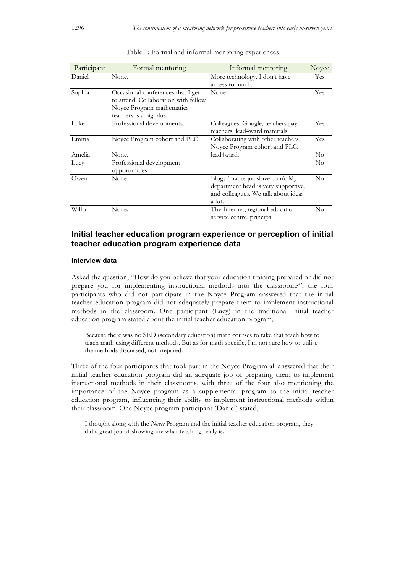| Participant | Formal mentoring                                                                                                                  | Informal mentoring                                                                                                     | Noyce    |
|-------------|-----------------------------------------------------------------------------------------------------------------------------------|------------------------------------------------------------------------------------------------------------------------|----------|
| Daniel      | None.                                                                                                                             | More technology. I don't have<br>access to much.                                                                       | Yes      |
| Sophia      | Occasional conferences that I get<br>to attend. Collaboration with fellow<br>Noyce Program mathematics<br>teachers is a big plus. | None.                                                                                                                  | Yes      |
| Luke        | Professional developments.                                                                                                        | Colleagues, Google, teachers pay<br>teachers, lead4ward materials.                                                     | Yes      |
| Emma        | Noyce Program cohort and PLC                                                                                                      | Collaborating with other teachers,<br>Noyce Program cohort and PLC.                                                    | Yes      |
| Amelia      | None.                                                                                                                             | lead4ward.                                                                                                             | $\rm No$ |
| Lucy        | Professional development<br>opportunities                                                                                         |                                                                                                                        | $\rm No$ |
| Owen        | None.                                                                                                                             | Blogs (mathequalslove.com). My<br>department head is very supportive,<br>and colleagues. We talk about ideas<br>a lot. | No       |
| William     | None.                                                                                                                             | The Internet, regional education<br>service centre, principal                                                          | No       |

#### Table 1: Formal and informal mentoring experiences

### **Initial teacher education program experience or perception of initial teacher education program experience data**

### **Interview data**

Asked the question, "How do you believe that your education training prepared or did not prepare you for implementing instructional methods into the classroom?", the four participants who did not participate in the Noyce Program answered that the initial teacher education program did not adequately prepare them to implement instructional methods in the classroom. One participant (Lucy) in the traditional initial teacher education program stated about the initial teacher education program,

Because there was no SED (secondary education) math courses to take that teach how to teach math using different methods. But as for math specific, I'm not sure how to utilise the methods discussed, not prepared.

Three of the four participants that took part in the Noyce Program all answered that their initial teacher education program did an adequate job of preparing them to implement instructional methods in their classrooms, with three of the four also mentioning the importance of the Noyce program as a supplemental program to the initial teacher education program, influencing their ability to implement instructional methods within their classroom. One Noyce program participant (Daniel) stated,

I thought along with the *Noyce* Program and the initial teacher education program, they did a great job of showing me what teaching really is.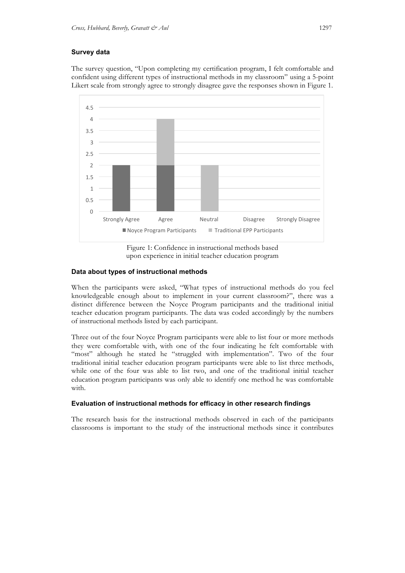### **Survey data**

The survey question, "Upon completing my certification program, I felt comfortable and confident using different types of instructional methods in my classroom" using a 5-point Likert scale from strongly agree to strongly disagree gave the responses shown in Figure 1.



Figure 1: Confidence in instructional methods based upon experience in initial teacher education program

### **Data about types of instructional methods**

When the participants were asked, "What types of instructional methods do you feel knowledgeable enough about to implement in your current classroom?", there was a distinct difference between the Noyce Program participants and the traditional initial teacher education program participants. The data was coded accordingly by the numbers of instructional methods listed by each participant.

Three out of the four Noyce Program participants were able to list four or more methods they were comfortable with, with one of the four indicating he felt comfortable with "most" although he stated he "struggled with implementation". Two of the four traditional initial teacher education program participants were able to list three methods, while one of the four was able to list two, and one of the traditional initial teacher education program participants was only able to identify one method he was comfortable with.

### **Evaluation of instructional methods for efficacy in other research findings**

The research basis for the instructional methods observed in each of the participants classrooms is important to the study of the instructional methods since it contributes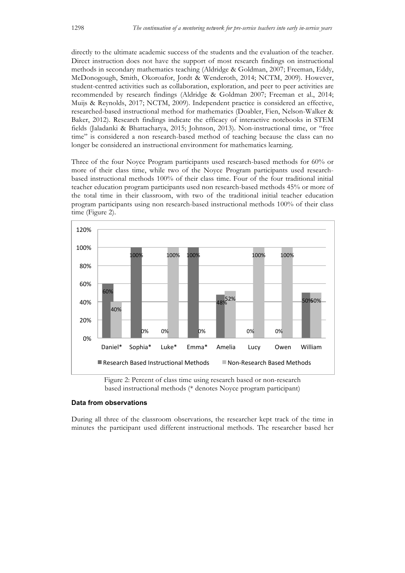directly to the ultimate academic success of the students and the evaluation of the teacher. Direct instruction does not have the support of most research findings on instructional methods in secondary mathematics teaching (Aldridge & Goldman, 2007; Freeman, Eddy, McDonogough, Smith, Okoroafor, Jordt & Wenderoth, 2014; NCTM, 2009). However, student-centred activities such as collaboration, exploration, and peer to peer activities are recommended by research findings (Aldridge & Goldman 2007; Freeman et al., 2014; Muijs & Reynolds, 2017; NCTM, 2009). Independent practice is considered an effective, researched-based instructional method for mathematics (Doabler, Fien, Nelson-Walker & Baker, 2012). Research findings indicate the efficacy of interactive notebooks in STEM fields (Jaladanki & Bhattacharya, 2015; Johnson, 2013). Non-instructional time, or "free time" is considered a non research-based method of teaching because the class can no longer be considered an instructional environment for mathematics learning.

Three of the four Noyce Program participants used research-based methods for 60% or more of their class time, while two of the Noyce Program participants used researchbased instructional methods 100% of their class time. Four of the four traditional initial teacher education program participants used non research-based methods 45% or more of the total time in their classroom, with two of the traditional initial teacher education program participants using non research-based instructional methods 100% of their class time (Figure 2).



Figure 2: Percent of class time using research based or non-research based instructional methods (\* denotes Noyce program participant)

### **Data from observations**

During all three of the classroom observations, the researcher kept track of the time in minutes the participant used different instructional methods. The researcher based her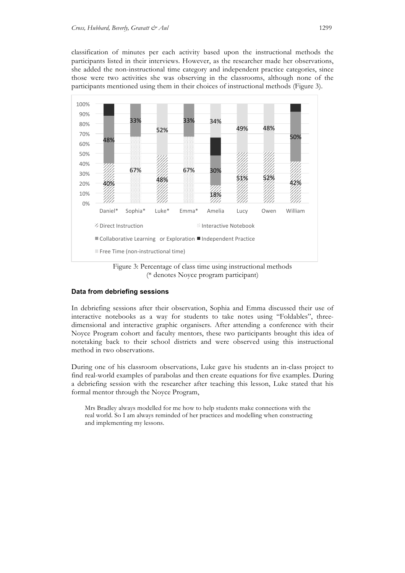classification of minutes per each activity based upon the instructional methods the participants listed in their interviews. However, as the researcher made her observations, she added the non-instructional time category and independent practice categories, since those were two activities she was observing in the classrooms, although none of the participants mentioned using them in their choices of instructional methods (Figure 3).



Figure 3: Percentage of class time using instructional methods (\* denotes Noyce program participant)

### **Data from debriefing sessions**

In debriefing sessions after their observation, Sophia and Emma discussed their use of interactive notebooks as a way for students to take notes using "Foldables", threedimensional and interactive graphic organisers. After attending a conference with their Noyce Program cohort and faculty mentors, these two participants brought this idea of notetaking back to their school districts and were observed using this instructional method in two observations.

During one of his classroom observations, Luke gave his students an in-class project to find real-world examples of parabolas and then create equations for five examples. During a debriefing session with the researcher after teaching this lesson, Luke stated that his formal mentor through the Noyce Program,

Mrs Bradley always modelled for me how to help students make connections with the real world. So I am always reminded of her practices and modelling when constructing and implementing my lessons.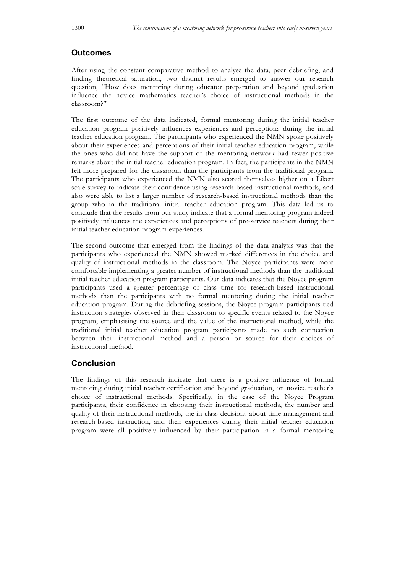# **Outcomes**

After using the constant comparative method to analyse the data, peer debriefing, and finding theoretical saturation, two distinct results emerged to answer our research question, "How does mentoring during educator preparation and beyond graduation influence the novice mathematics teacher's choice of instructional methods in the classroom?"

The first outcome of the data indicated, formal mentoring during the initial teacher education program positively influences experiences and perceptions during the initial teacher education program. The participants who experienced the NMN spoke positively about their experiences and perceptions of their initial teacher education program, while the ones who did not have the support of the mentoring network had fewer positive remarks about the initial teacher education program. In fact, the participants in the NMN felt more prepared for the classroom than the participants from the traditional program. The participants who experienced the NMN also scored themselves higher on a Likert scale survey to indicate their confidence using research based instructional methods, and also were able to list a larger number of research-based instructional methods than the group who in the traditional initial teacher education program. This data led us to conclude that the results from our study indicate that a formal mentoring program indeed positively influences the experiences and perceptions of pre-service teachers during their initial teacher education program experiences.

The second outcome that emerged from the findings of the data analysis was that the participants who experienced the NMN showed marked differences in the choice and quality of instructional methods in the classroom. The Noyce participants were more comfortable implementing a greater number of instructional methods than the traditional initial teacher education program participants. Our data indicates that the Noyce program participants used a greater percentage of class time for research-based instructional methods than the participants with no formal mentoring during the initial teacher education program. During the debriefing sessions, the Noyce program participants tied instruction strategies observed in their classroom to specific events related to the Noyce program, emphasising the source and the value of the instructional method, while the traditional initial teacher education program participants made no such connection between their instructional method and a person or source for their choices of instructional method.

# **Conclusion**

The findings of this research indicate that there is a positive influence of formal mentoring during initial teacher certification and beyond graduation, on novice teacher's choice of instructional methods. Specifically, in the case of the Noyce Program participants, their confidence in choosing their instructional methods, the number and quality of their instructional methods, the in-class decisions about time management and research-based instruction, and their experiences during their initial teacher education program were all positively influenced by their participation in a formal mentoring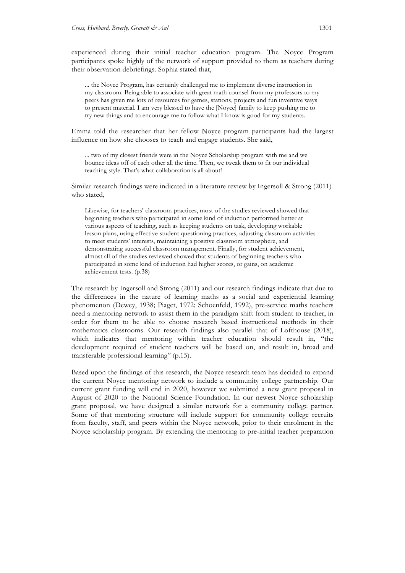experienced during their initial teacher education program. The Noyce Program participants spoke highly of the network of support provided to them as teachers during their observation debriefings. Sophia stated that,

... the Noyce Program, has certainly challenged me to implement diverse instruction in my classroom. Being able to associate with great math counsel from my professors to my peers has given me lots of resources for games, stations, projects and fun inventive ways to present material. I am very blessed to have the [Noyce] family to keep pushing me to try new things and to encourage me to follow what I know is good for my students.

Emma told the researcher that her fellow Noyce program participants had the largest influence on how she chooses to teach and engage students. She said,

... two of my closest friends were in the Noyce Scholarship program with me and we bounce ideas off of each other all the time. Then, we tweak them to fit our individual teaching style. That's what collaboration is all about!

Similar research findings were indicated in a literature review by Ingersoll & Strong (2011) who stated,

Likewise, for teachers' classroom practices, most of the studies reviewed showed that beginning teachers who participated in some kind of induction performed better at various aspects of teaching, such as keeping students on task, developing workable lesson plans, using effective student questioning practices, adjusting classroom activities to meet students' interests, maintaining a positive classroom atmosphere, and demonstrating successful classroom management. Finally, for student achievement, almost all of the studies reviewed showed that students of beginning teachers who participated in some kind of induction had higher scores, or gains, on academic achievement tests. (p.38)

The research by Ingersoll and Strong (2011) and our research findings indicate that due to the differences in the nature of learning maths as a social and experiential learning phenomenon (Dewey, 1938; Piaget, 1972; Schoenfeld, 1992), pre-service maths teachers need a mentoring network to assist them in the paradigm shift from student to teacher, in order for them to be able to choose research based instructional methods in their mathematics classrooms. Our research findings also parallel that of Lofthouse (2018), which indicates that mentoring within teacher education should result in, "the development required of student teachers will be based on, and result in, broad and transferable professional learning" (p.15).

Based upon the findings of this research, the Noyce research team has decided to expand the current Noyce mentoring network to include a community college partnership. Our current grant funding will end in 2020, however we submitted a new grant proposal in August of 2020 to the National Science Foundation. In our newest Noyce scholarship grant proposal, we have designed a similar network for a community college partner. Some of that mentoring structure will include support for community college recruits from faculty, staff, and peers within the Noyce network, prior to their enrolment in the Noyce scholarship program. By extending the mentoring to pre-initial teacher preparation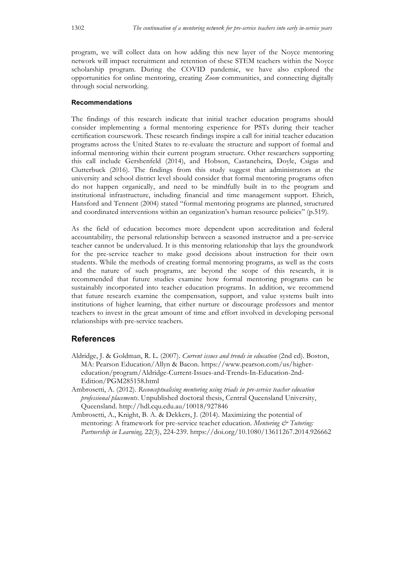program, we will collect data on how adding this new layer of the Noyce mentoring network will impact recruitment and retention of these STEM teachers within the Noyce scholarship program. During the COVID pandemic, we have also explored the opportunities for online mentoring, creating *Zoom* communities, and connecting digitally through social networking.

### **Recommendations**

The findings of this research indicate that initial teacher education programs should consider implementing a formal mentoring experience for PSTs during their teacher certification coursework. These research findings inspire a call for initial teacher education programs across the United States to re-evaluate the structure and support of formal and informal mentoring within their current program structure. Other researchers supporting this call include Gershenfeld (2014), and Hobson, Castaneheira, Doyle, Csigas and Clutterbuck (2016). The findings from this study suggest that administrators at the university and school district level should consider that formal mentoring programs often do not happen organically, and need to be mindfully built in to the program and institutional infrastructure, including financial and time management support. Ehrich, Hansford and Tennent (2004) stated "formal mentoring programs are planned, structured and coordinated interventions within an organization's human resource policies" (p.519).

As the field of education becomes more dependent upon accreditation and federal accountability, the personal relationship between a seasoned instructor and a pre-service teacher cannot be undervalued. It is this mentoring relationship that lays the groundwork for the pre-service teacher to make good decisions about instruction for their own students. While the methods of creating formal mentoring programs, as well as the costs and the nature of such programs, are beyond the scope of this research, it is recommended that future studies examine how formal mentoring programs can be sustainably incorporated into teacher education programs. In addition, we recommend that future research examine the compensation, support, and value systems built into institutions of higher learning, that either nurture or discourage professors and mentor teachers to invest in the great amount of time and effort involved in developing personal relationships with pre-service teachers.

### **References**

- Aldridge, J. & Goldman, R. L. (2007). *Current issues and trends in education* (2nd ed). Boston, MA: Pearson Education/Allyn & Bacon. https://www.pearson.com/us/highereducation/program/Aldridge-Current-Issues-and-Trends-In-Education-2nd-Edition/PGM285158.html
- Ambrosetti, A. (2012). *Reconceptualising mentoring using triads in pre-service teacher education professional placements*. Unpublished doctoral thesis, Central Queensland University, Queensland. http://hdl.cqu.edu.au/10018/927846
- Ambrosetti, A., Knight, B. A. & Dekkers, J. (2014). Maximizing the potential of mentoring: A framework for pre-service teacher education. *Mentoring* & Tutoring: *Partnership in Learning,* 22(3), 224-239. https://doi.org/10.1080/13611267.2014.926662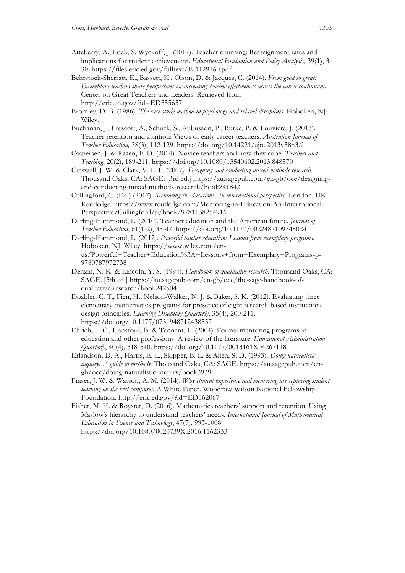- Atteberry, A., Loeb, S. Wyckoff, J. (2017). Teacher churning: Reassignment rates and implications for student achievement. *Educational Evaluation and Policy Analysis,* 39(1), 3- 30. https://files.eric.ed.gov/fulltext/EJ1129160.pdf
- Behrstock-Sherratt, E., Bassett, K., Olson, D. & Jacques, C. (2014). *From good to great: Exemplary teachers share perspectives on increasing teacher effectiveness across the career continuum.*  Center on Great Teachers and Leaders. Retrieved from http://eric.ed.gov/?id=ED555657
- Bromley, D. B. (1986). *The case-study method in psychology and related disciplines*. Hoboken, NJ: Wiley.
- Buchanan, J., Prescott, A., Schuck, S., Aubusson, P., Burke, P. & Louviere, J. (2013). Teacher retention and attrition: Views of early career teachers. *Australian Journal of Teacher Education,* 38(3), 112-129. https://doi.org/10.14221/ajte.2013v38n3.9
- Caspersen, J. & Raaen, F. D. (2014). Novice teachers and how they cope. *Teachers and Teaching*, 20(2), 189-211. https://doi.org/10.1080/13540602.2013.848570
- Creswell, J. W. & Clark, V. L. P. (2007*). Designing and conducting mixed methods research*. Thousand Oaks, CA: SAGE. [3rd ed.] https://au.sagepub.com/en-gb/oce/designingand-conducting-mixed-methods-research/book241842
- Cullingford, C. (Ed.) (2017). *Mentoring in education: An international perspective*. London, UK: Routledge. https://www.routledge.com/Mentoring-in-Education-An-International-Perspective/Cullingford/p/book/9781138254916
- Darling-Hammond, L. (2010). Teacher education and the American future. *Journal of Teacher Education*, 61(1-2), 35-47. https://doi.org/10.1177/0022487109348024
- Darling-Hammond, L. (2012). *Powerful teacher education: Lessons from exemplary programs*. Hoboken, NJ: Wiley. https://www.wiley.com/enus/Powerful+Teacher+Education%3A+Lessons+from+Exemplary+Programs-p-9780787972738
- Denzin, N. K. & Lincoln, Y. S. (1994). *Handbook of qualitative research*. Thousand Oaks, CA: SAGE. [5th ed.] https://au.sagepub.com/en-gb/oce/the-sage-handbook-ofqualitative-research/book242504
- Doabler, C. T., Fien, H., Nelson-Walker, N. J. & Baker, S. K. (2012). Evaluating three elementary mathematics programs for presence of eight research-based instructional design principles. *Learning Disability Quarterly*, 35(4), 200-211. https://doi.org/10.1177/0731948712438557
- Ehrich, L. C., Hansford, B. & Tennent, L. (2004). Formal mentoring programs in education and other professions: A review of the literature. *Educational Administration Quarterly*, 40(4), 518-540. https://doi.org/10.1177/0013161X04267118
- Erlandson, D. A., Harris, E. L., Skipper, B. L. & Allen, S. D. (1993). *Doing naturalistic inquiry: A guide to methods.* Thousand Oaks, CA: SAGE. https://au.sagepub.com/engb/oce/doing-naturalistic-inquiry/book3939
- Fraser, J. W. & Watson, A. M. (2014). *Why clinical experience and mentoring are replacing student teaching on the best campuses.* A White Paper. Woodrow Wilson National Fellowship Foundation. http://eric.ed.gov/?id=ED562067
- Fisher, M. H. & Royster, D. (2016). Mathematics teachers' support and retention: Using Maslow's hierarchy to understand teachers' needs*. International Journal of Mathematical Education in Science and Technology*, 47(7), 993-1008. https://doi.org/10.1080/0020739X.2016.1162333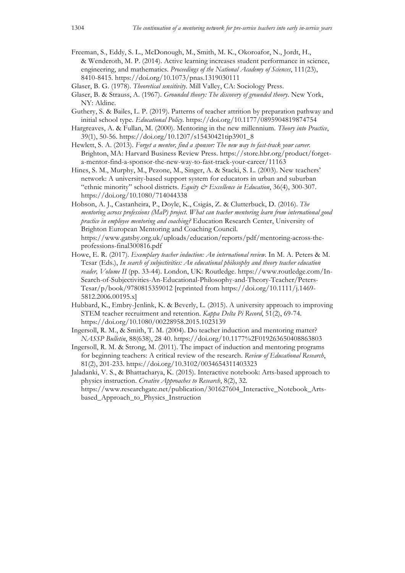Freeman, S., Eddy, S. L., McDonough, M., Smith, M. K., Okoroafor, N., Jordt, H., & Wenderoth, M. P. (2014). Active learning increases student performance in science, engineering, and mathematics. *Proceedings of the National Academy of Sciences*, 111(23), 8410-8415. https://doi.org/10.1073/pnas.1319030111

Glaser, B. G. (1978). *Theoretical sensitivity*. Mill Valley, CA: Sociology Press.

- Glaser, B. & Strauss, A. (1967). *Grounded theory: The discovery of grounded theory*. New York, NY: Aldine.
- Guthery, S. & Bailes, L. P. (2019). Patterns of teacher attrition by preparation pathway and initial school type. *Educational Policy*. https://doi.org/10.1177/0895904819874754
- Hargreaves, A. & Fullan, M. (2000). Mentoring in the new millennium. *Theory into Practice*, 39(1), 50-56. https://doi.org/10.1207/s15430421tip3901\_8
- Hewlett, S. A. (2013). *Forget a mentor, find a sponsor: The new way to fast-track your career.* Brighton, MA: Harvard Business Review Press. https://store.hbr.org/product/forgeta-mentor-find-a-sponsor-the-new-way-to-fast-track-your-career/11163
- Hines, S. M., Murphy, M., Pezone, M., Singer, A. & Stacki, S. L. (2003). New teachers' network: A university-based support system for educators in urban and suburban "ethnic minority" school districts*. Equity & Excellence in Education*, 36(4), 300-307. https://doi.org/10.1080/714044338
- Hobson, A. J., Castanheira, P., Doyle, K., Csigás, Z. & Clutterbuck, D. (2016). *The mentoring across professions (MaP) project. What can teacher mentoring learn from international good practice in employee mentoring and coaching?* Education Research Center, University of Brighton European Mentoring and Coaching Council. https://www.gatsby.org.uk/uploads/education/reports/pdf/mentoring-across-theprofessions-final300816.pdf
- Howe, E. R. (2017). *Exemplary teacher induction: An international review.* In M. A. Peters & M. Tesar (Eds.), *In search of subjectivities: An educational philosophy and theory teacher education reader, Volume II* (pp. 33-44). London, UK: Routledge. https://www.routledge.com/In-Search-of-Subjectivities-An-Educational-Philosophy-and-Theory-Teacher/Peters-Tesar/p/book/9780815359012 [reprinted from https://doi.org/10.1111/j.1469- 5812.2006.00195.x]
- Hubbard, K., Embry-Jenlink, K. & Beverly, L. (2015). A university approach to improving STEM teacher recruitment and retention. *Kappa Delta Pi Record*, 51(2), 69-74. https://doi.org/10.1080/00228958.2015.1023139
- Ingersoll, R. M., & Smith, T. M. (2004). Do teacher induction and mentoring matter? *NASSP Bulletin*, 88(638), 28 40. https://doi.org/10.1177%2F019263650408863803
- Ingersoll, R. M. & Strong, M. (2011). The impact of induction and mentoring programs for beginning teachers: A critical review of the research. *Review of Educational Research*, 81(2), 201-233. https://doi.org/10.3102/0034654311403323

Jaladanki, V. S., & Bhattacharya, K. (2015). Interactive notebook: Arts-based approach to physics instruction. *Creative Approaches to Research*, 8(2), 32. https://www.researchgate.net/publication/301627604\_Interactive\_Notebook\_Artsbased\_Approach\_to\_Physics\_Instruction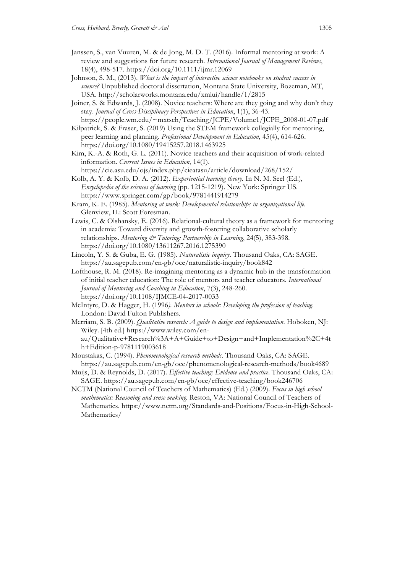- Janssen, S., van Vuuren, M. & de Jong, M. D. T. (2016). Informal mentoring at work: A review and suggestions for future research. *International Journal of Management Reviews*, 18(4), 498-517. https://doi.org/10.1111/ijmr.12069
- Johnson, S. M., (2013). *What is the impact of interactive science notebooks on student success in science?* Unpublished doctoral dissertation, Montana State University, Bozeman, MT, USA. http://scholarworks.montana.edu/xmlui/handle/1/2815
- Joiner, S. & Edwards, J. (2008). Novice teachers: Where are they going and why don't they stay. *Journal of Cross-Disciplinary Perspectives in Education*, 1(1), 36-43.

https://people.wm.edu/~mxtsch/Teaching/JCPE/Volume1/JCPE\_2008-01-07.pdf Kilpatrick, S. & Fraser, S. (2019) Using the STEM framework collegially for mentoring, peer learning and planning. *Professional Development in Education*, 45(4), 614-626. https://doi.org/10.1080/19415257.2018.1463925

Kim, K.-A. & Roth, G. L. (2011). Novice teachers and their acquisition of work-related information. *Current Issues in Education*, 14(1).

https://cie.asu.edu/ojs/index.php/cieatasu/article/download/268/152/ Kolb, A. Y. & Kolb, D. A. (2012). *Experiential learning theory.* In N. M. Seel (Ed.),

*Encyclopedia of the sciences of learning* (pp. 1215-1219). New York: Springer US. https://www.springer.com/gp/book/9781441914279

Kram, K. E. (1985). *Mentoring at work: Developmental relationships in organizational life*. Glenview, IL: Scott Foresman.

Lewis, C. & Olshansky, E. (2016). Relational-cultural theory as a framework for mentoring in academia: Toward diversity and growth-fostering collaborative scholarly relationships. *Mentoring & Tutoring: Partnership in Learning*, 24(5), 383-398. https://doi.org/10.1080/13611267.2016.1275390

- Lincoln, Y. S. & Guba, E. G. (1985). *Naturalistic inquiry*. Thousand Oaks, CA: SAGE. https://au.sagepub.com/en-gb/oce/naturalistic-inquiry/book842
- Lofthouse, R. M. (2018). Re-imagining mentoring as a dynamic hub in the transformation of initial teacher education: The role of mentors and teacher educators. *International Journal of Mentoring and Coaching in Education*, 7(3), 248-260. https://doi.org/10.1108/IJMCE-04-2017-0033
- McIntyre, D. & Hagger, H. (1996*). Mentors in schools: Developing the profession of teaching*. London: David Fulton Publishers.

Merriam, S. B. (2009). *Qualitative research: A guide to design and implementation*. Hoboken, NJ: Wiley. [4th ed.] https://www.wiley.com/enau/Qualitative+Research%3A+A+Guide+to+Design+and+Implementation%2C+4t

- h+Edition-p-9781119003618 Moustakas, C. (1994). *Phenomenological research methods.* Thousand Oaks, CA: SAGE.
- https://au.sagepub.com/en-gb/oce/phenomenological-research-methods/book4689
- Muijs, D. & Reynolds, D. (2017). *Effective teaching: Evidence and practice*. Thousand Oaks, CA: SAGE. https://au.sagepub.com/en-gb/oce/effective-teaching/book246706
- NCTM (National Council of Teachers of Mathematics) (Ed.) (2009). *Focus in high school mathematics: Reasoning and sense making.* Reston, VA: National Council of Teachers of Mathematics. https://www.nctm.org/Standards-and-Positions/Focus-in-High-School-Mathematics/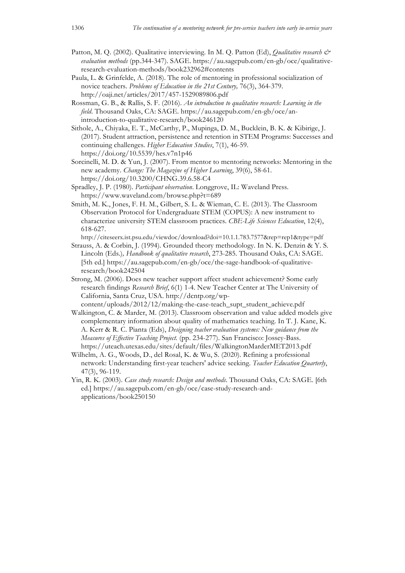- Patton, M. Q. (2002). Qualitative interviewing. In M. Q. Patton (Ed), *Qualitative research & evaluation methods* (pp.344-347). SAGE. https://au.sagepub.com/en-gb/oce/qualitativeresearch-evaluation-methods/book232962#contents
- Paula, L. & Grinfelde, A. (2018). The role of mentoring in professional socialization of novice teachers. *Problems of Education in the 21st Century,* 76(3), 364-379. http://oaji.net/articles/2017/457-1529089806.pdf
- Rossman, G. B., & Rallis, S. F. (2016). *An introduction to qualitative research: Learning in the field*. Thousand Oaks, CA: SAGE. https://au.sagepub.com/en-gb/oce/anintroduction-to-qualitative-research/book246120
- Sithole, A., Chiyaka, E. T., McCarthy, P., Mupinga, D. M., Bucklein, B. K. & Kibirige, J. (2017). Student attraction, persistence and retention in STEM Programs: Successes and continuing challenges. *Higher Education Studies*, 7(1), 46-59. https://doi.org/10.5539/hes.v7n1p46
- Sorcinelli, M. D. & Yun, J. (2007). From mentor to mentoring networks: Mentoring in the new academy. *Change: The Magazine of Higher Learning*, 39(6), 58-61. https://doi.org/10.3200/CHNG.39.6.58-C4
- Spradley, J. P. (1980). *Participant observation*. Longgrove, IL: Waveland Press. https://www.waveland.com/browse.php?t=689
- Smith, M. K., Jones, F. H. M., Gilbert, S. L. & Wieman, C. E. (2013). The Classroom Observation Protocol for Undergraduate STEM (COPUS): A new instrument to characterize university STEM classroom practices. *CBE-Life Sciences Education*, 12(4), 618-627.
- http://citeseerx.ist.psu.edu/viewdoc/download?doi=10.1.1.783.7577&rep=rep1&type=pdf Strauss, A. & Corbin, J. (1994). Grounded theory methodology. In N. K. Denzin & Y. S.
- Lincoln (Eds.)*, Handbook of qualitative research*, 273-285. Thousand Oaks, CA: SAGE. [5th ed.] https://au.sagepub.com/en-gb/oce/the-sage-handbook-of-qualitativeresearch/book242504
- Strong, M. (2006). Does new teacher support affect student achievement? Some early research findings *Research Brief*, 6(1) 1-4. New Teacher Center at The University of California, Santa Cruz, USA. http://dcntp.org/wp-
- content/uploads/2012/12/making-the-case-teach\_supt\_student\_achieve.pdf Walkington, C. & Marder, M. (2013). Classroom observation and value added models give complementary information about quality of mathematics teaching. In T. J. Kane, K. A. Kerr & R. C. Pianta (Eds), *Designing teacher evaluation systems: New guidance from the Measures of Effective Teaching Project.* (pp. 234-277). San Francisco: Jossey-Bass. https://uteach.utexas.edu/sites/default/files/WalkingtonMarderMET2013.pdf
- Wilhelm, A. G., Woods, D., del Rosal, K. & Wu, S. (2020). Refining a professional network: Understanding first-year teachers' advice seeking. *Teacher Education Quarterly*, 47(3), 96-119.
- Yin, R. K. (2003). *Case study research: Design and methods*. Thousand Oaks, CA: SAGE. [6th ed.] https://au.sagepub.com/en-gb/oce/case-study-research-andapplications/book250150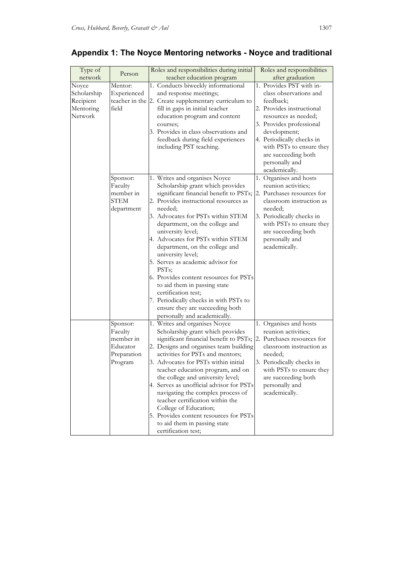| Type of<br>network | Person      | Roles and responsibilities during initial<br>teacher education program | Roles and responsibilities<br>after graduation |
|--------------------|-------------|------------------------------------------------------------------------|------------------------------------------------|
|                    | Mentor:     |                                                                        | 1. Provides PST with in-                       |
| Noyce              | Experienced | 1. Conducts biweekly informational                                     | class observations and                         |
| Scholarship        |             | and response meetings;                                                 |                                                |
| Recipient          |             | teacher in the 2. Create supplementary curriculum to                   | feedback;                                      |
| Mentoring          | field       | fill in gaps in initial teacher                                        | 2. Provides instructional                      |
| Network            |             | education program and content                                          | resources as needed;                           |
|                    |             | courses;                                                               | 3. Provides professional                       |
|                    |             | 3. Provides in class observations and                                  | development;                                   |
|                    |             | feedback during field experiences                                      | 4. Periodically checks in                      |
|                    |             | including PST teaching.                                                | with PSTs to ensure they                       |
|                    |             |                                                                        | are succeeding both                            |
|                    |             |                                                                        | personally and                                 |
|                    |             |                                                                        | academically.                                  |
|                    | Sponsor:    | 1. Writes and organises Noyce                                          | 1. Organises and hosts                         |
|                    | Faculty     | Scholarship grant which provides                                       | reunion activities;                            |
|                    | member in   | significant financial benefit to PSTs; 2. Purchases resources for      |                                                |
|                    | <b>STEM</b> | 2. Provides instructional resources as                                 | classroom instruction as                       |
|                    | department  | needed;                                                                | needed;                                        |
|                    |             | 3. Advocates for PSTs within STEM                                      | 3. Periodically checks in                      |
|                    |             | department, on the college and                                         | with PSTs to ensure they                       |
|                    |             | university level;                                                      | are succeeding both                            |
|                    |             | 4. Advocates for PSTs within STEM                                      | personally and                                 |
|                    |             | department, on the college and                                         | academically.                                  |
|                    |             | university level;                                                      |                                                |
|                    |             | 5. Serves as academic advisor for                                      |                                                |
|                    |             | PST <sub>s</sub> ;                                                     |                                                |
|                    |             | 6. Provides content resources for PSTs                                 |                                                |
|                    |             | to aid them in passing state                                           |                                                |
|                    |             | certification test;                                                    |                                                |
|                    |             | 7. Periodically checks in with PSTs to                                 |                                                |
|                    |             | ensure they are succeeding both                                        |                                                |
|                    |             | personally and academically.                                           |                                                |
|                    | Sponsor:    | 1. Writes and organises Noyce                                          | 1. Organises and hosts                         |
|                    | Faculty     | Scholarship grant which provides                                       | reunion activities;                            |
|                    | member in   | significant financial benefit to PSTs; 2. Purchases resources for      |                                                |
|                    | Educator    | 2. Designs and organises team building                                 | classroom instruction as                       |
|                    | Preparation | activities for PSTs and mentors;                                       | needed;                                        |
|                    | Program     | 3. Advocates for PSTs within initial                                   | 3. Periodically checks in                      |
|                    |             | teacher education program, and on                                      | with PSTs to ensure they                       |
|                    |             | the college and university level;                                      | are succeeding both                            |
|                    |             | 4. Serves as unofficial advisor for PSTs                               | personally and                                 |
|                    |             | navigating the complex process of                                      | academically.                                  |
|                    |             | teacher certification within the                                       |                                                |
|                    |             | College of Education;                                                  |                                                |
|                    |             | 5. Provides content resources for PSTs                                 |                                                |
|                    |             | to aid them in passing state                                           |                                                |
|                    |             | certification test;                                                    |                                                |
|                    |             |                                                                        |                                                |

# **Appendix 1: The Noyce Mentoring networks - Noyce and traditional**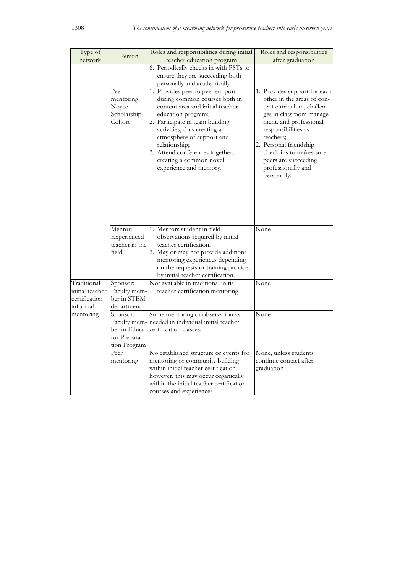| Type of         | Person                                               | Roles and responsibilities during initial                                                                                                                                                                                                                                                                                            | Roles and responsibilities                                                                                                                                                                                                                                                                          |
|-----------------|------------------------------------------------------|--------------------------------------------------------------------------------------------------------------------------------------------------------------------------------------------------------------------------------------------------------------------------------------------------------------------------------------|-----------------------------------------------------------------------------------------------------------------------------------------------------------------------------------------------------------------------------------------------------------------------------------------------------|
| network         |                                                      | teacher education program                                                                                                                                                                                                                                                                                                            | after graduation                                                                                                                                                                                                                                                                                    |
|                 |                                                      | 6. Periodically checks in with PSTs to                                                                                                                                                                                                                                                                                               |                                                                                                                                                                                                                                                                                                     |
|                 |                                                      | ensure they are succeeding both                                                                                                                                                                                                                                                                                                      |                                                                                                                                                                                                                                                                                                     |
|                 |                                                      | personally and academically                                                                                                                                                                                                                                                                                                          |                                                                                                                                                                                                                                                                                                     |
|                 | Peer<br>mentoring:<br>Noyce<br>Scholarship<br>Cohort | 1. Provides peer to peer support<br>during common courses both in<br>content area and initial teacher<br>education program;<br>2. Participate in team building<br>activities, thus creating an<br>atmosphere of support and<br>relationship;<br>3. Attend conferences together,<br>creating a common novel<br>experience and memory. | 1. Provides support for each<br>other in the areas of con-<br>tent curriculum, challen-<br>ges in classroom manage-<br>ment, and professional<br>responsibilities as<br>teachers;<br>2. Personal friendship<br>check-ins to makes sure<br>peers are succeeding<br>professionally and<br>personally. |
|                 | Mentor:                                              | 1. Mentors student in field                                                                                                                                                                                                                                                                                                          | None                                                                                                                                                                                                                                                                                                |
|                 | Experienced                                          | observations required by initial                                                                                                                                                                                                                                                                                                     |                                                                                                                                                                                                                                                                                                     |
|                 | teacher in the                                       | teacher certification.                                                                                                                                                                                                                                                                                                               |                                                                                                                                                                                                                                                                                                     |
|                 | field                                                | 2. May or may not provide additional                                                                                                                                                                                                                                                                                                 |                                                                                                                                                                                                                                                                                                     |
|                 |                                                      | mentoring experiences depending                                                                                                                                                                                                                                                                                                      |                                                                                                                                                                                                                                                                                                     |
|                 |                                                      | on the requests or training provided                                                                                                                                                                                                                                                                                                 |                                                                                                                                                                                                                                                                                                     |
|                 |                                                      | by initial teacher certification.                                                                                                                                                                                                                                                                                                    |                                                                                                                                                                                                                                                                                                     |
| Traditional     | Sponsor:                                             | Not available in traditional initial                                                                                                                                                                                                                                                                                                 | None                                                                                                                                                                                                                                                                                                |
| initial teacher | Faculty mem-                                         | teacher certification mentoring.                                                                                                                                                                                                                                                                                                     |                                                                                                                                                                                                                                                                                                     |
| certification   | ber in STEM                                          |                                                                                                                                                                                                                                                                                                                                      |                                                                                                                                                                                                                                                                                                     |
| informal        | department                                           |                                                                                                                                                                                                                                                                                                                                      |                                                                                                                                                                                                                                                                                                     |
| mentoring       | Sponsor:                                             | Some mentoring or observation as                                                                                                                                                                                                                                                                                                     | None                                                                                                                                                                                                                                                                                                |
|                 | Faculty mem-                                         | needed in individual initial teacher                                                                                                                                                                                                                                                                                                 |                                                                                                                                                                                                                                                                                                     |
|                 | ber in Educa-                                        | certification classes.                                                                                                                                                                                                                                                                                                               |                                                                                                                                                                                                                                                                                                     |
|                 | tor Prepara-                                         |                                                                                                                                                                                                                                                                                                                                      |                                                                                                                                                                                                                                                                                                     |
|                 | tion Program                                         |                                                                                                                                                                                                                                                                                                                                      |                                                                                                                                                                                                                                                                                                     |
|                 | Peer                                                 | No established structure or events for                                                                                                                                                                                                                                                                                               | None, unless students                                                                                                                                                                                                                                                                               |
|                 | mentoring                                            | mentoring or community building                                                                                                                                                                                                                                                                                                      | continue contact after                                                                                                                                                                                                                                                                              |
|                 |                                                      | within initial teacher certification,                                                                                                                                                                                                                                                                                                | graduation                                                                                                                                                                                                                                                                                          |
|                 |                                                      | however, this may occur organically                                                                                                                                                                                                                                                                                                  |                                                                                                                                                                                                                                                                                                     |
|                 |                                                      | within the initial teacher certification                                                                                                                                                                                                                                                                                             |                                                                                                                                                                                                                                                                                                     |
|                 |                                                      | courses and experiences                                                                                                                                                                                                                                                                                                              |                                                                                                                                                                                                                                                                                                     |